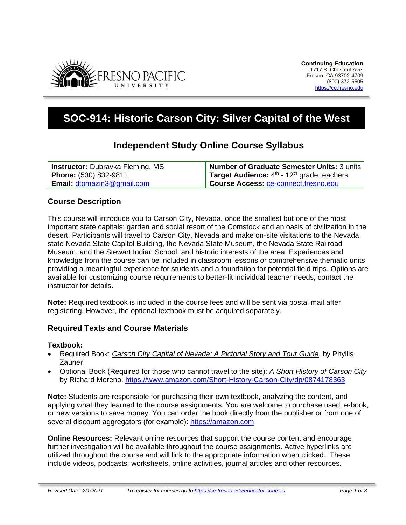

# **SOC-914: Historic Carson City: Silver Capital of the West**

# **Independent Study Online Course Syllabus**

| <b>Instructor:</b> Dubravka Fleming, MS | Number of Graduate Semester Units: 3 units               |
|-----------------------------------------|----------------------------------------------------------|
| <b>Phone:</b> (530) 832-9811            | Target Audience: $4th$ - 12 <sup>th</sup> grade teachers |
| <b>Email: dtomazin3@gmail.com</b>       | Course Access: ce-connect.fresno.edu                     |

### **Course Description**

This course will introduce you to Carson City, Nevada, once the smallest but one of the most important state capitals: garden and social resort of the Comstock and an oasis of civilization in the desert. Participants will travel to Carson City, Nevada and make on-site visitations to the Nevada state Nevada State Capitol Building, the Nevada State Museum, the Nevada State Railroad Museum, and the Stewart Indian School, and historic interests of the area. Experiences and knowledge from the course can be included in classroom lessons or comprehensive thematic units providing a meaningful experience for students and a foundation for potential field trips. Options are available for customizing course requirements to better-fit individual teacher needs; contact the instructor for details.

**Note:** Required textbook is included in the course fees and will be sent via postal mail after registering. However, the optional textbook must be acquired separately.

### **Required Texts and Course Materials**

### **Textbook:**

- Required Book: *Carson City Capital of Nevada: A Pictorial Story and Tour Guide*, by Phyllis Zauner
- Optional Book (Required for those who cannot travel to the site): *A Short History of Carson City* by Richard Moreno.<https://www.amazon.com/Short-History-Carson-City/dp/0874178363>

**Note:** Students are responsible for purchasing their own textbook, analyzing the content, and applying what they learned to the course assignments. You are welcome to purchase used, e-book, or new versions to save money. You can order the book directly from the publisher or from one of several discount aggregators (for example): [https://amazon.com](https://amazon.com/)

**Online Resources:** Relevant online resources that support the course content and encourage further investigation will be available throughout the course assignments. Active hyperlinks are utilized throughout the course and will link to the appropriate information when clicked. These include videos, podcasts, worksheets, online activities, journal articles and other resources.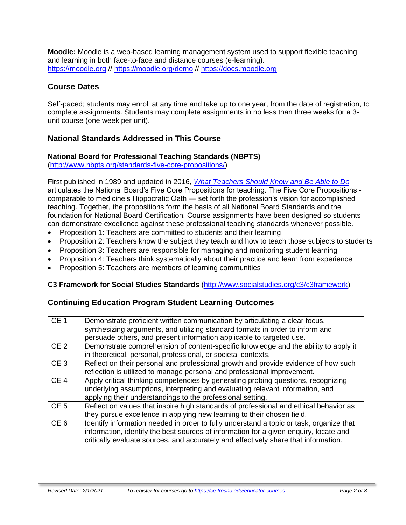**Moodle:** Moodle is a web-based learning management system used to support flexible teaching and learning in both face-to-face and distance courses (e-learning). [https://moodle.org](https://moodle.org/) // <https://moodle.org/demo> // [https://docs.moodle.org](https://docs.moodle.org/)

# **Course Dates**

Self-paced; students may enroll at any time and take up to one year, from the date of registration, to complete assignments. Students may complete assignments in no less than three weeks for a 3 unit course (one week per unit).

# **National Standards Addressed in This Course**

### **National Board for Professional Teaching Standards (NBPTS)**

[\(http://www.nbpts.org/standards-five-core-propositions/\)](http://www.nbpts.org/standards-five-core-propositions/)

First published in 1989 and updated in 2016, *[What Teachers Should Know and Be Able to Do](http://www.accomplishedteacher.org/)* articulates the National Board's Five Core Propositions for teaching. The Five Core Propositions comparable to medicine's Hippocratic Oath — set forth the profession's vision for accomplished teaching. Together, the propositions form the basis of all National Board Standards and the foundation for National Board Certification. Course assignments have been designed so students can demonstrate excellence against these professional teaching standards whenever possible.

- Proposition 1: Teachers are committed to students and their learning
- Proposition 2: Teachers know the subject they teach and how to teach those subjects to students
- Proposition 3: Teachers are responsible for managing and monitoring student learning
- Proposition 4: Teachers think systematically about their practice and learn from experience
- Proposition 5: Teachers are members of learning communities

### **C3 Framework for Social Studies Standards** [\(http://www.socialstudies.org/c3/c3framework\)](http://www.socialstudies.org/c3/c3framework)

# **Continuing Education Program Student Learning Outcomes**

| CE <sub>1</sub> | Demonstrate proficient written communication by articulating a clear focus,<br>synthesizing arguments, and utilizing standard formats in order to inform and<br>persuade others, and present information applicable to targeted use.                                    |
|-----------------|-------------------------------------------------------------------------------------------------------------------------------------------------------------------------------------------------------------------------------------------------------------------------|
| CE <sub>2</sub> | Demonstrate comprehension of content-specific knowledge and the ability to apply it<br>in theoretical, personal, professional, or societal contexts.                                                                                                                    |
| CE <sub>3</sub> | Reflect on their personal and professional growth and provide evidence of how such<br>reflection is utilized to manage personal and professional improvement.                                                                                                           |
| CE <sub>4</sub> | Apply critical thinking competencies by generating probing questions, recognizing<br>underlying assumptions, interpreting and evaluating relevant information, and<br>applying their understandings to the professional setting.                                        |
| CE <sub>5</sub> | Reflect on values that inspire high standards of professional and ethical behavior as<br>they pursue excellence in applying new learning to their chosen field.                                                                                                         |
| CE <sub>6</sub> | Identify information needed in order to fully understand a topic or task, organize that<br>information, identify the best sources of information for a given enquiry, locate and<br>critically evaluate sources, and accurately and effectively share that information. |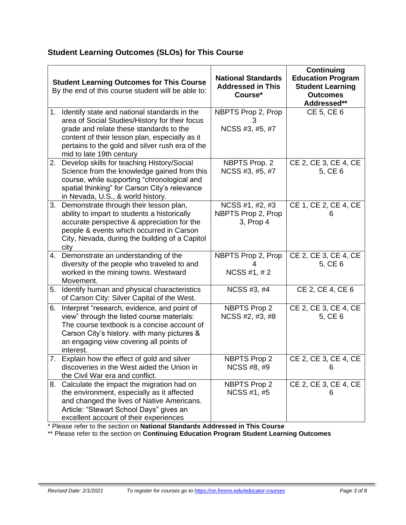# **Student Learning Outcomes (SLOs) for This Course**

|    | <b>Student Learning Outcomes for This Course</b><br>By the end of this course student will be able to:                                                                                                                                                                     | <b>National Standards</b><br><b>Addressed in This</b><br>Course* | <b>Continuing</b><br><b>Education Program</b><br><b>Student Learning</b><br><b>Outcomes</b><br>Addressed** |
|----|----------------------------------------------------------------------------------------------------------------------------------------------------------------------------------------------------------------------------------------------------------------------------|------------------------------------------------------------------|------------------------------------------------------------------------------------------------------------|
| 1. | Identify state and national standards in the<br>area of Social Studies/History for their focus<br>grade and relate these standards to the<br>content of their lesson plan, especially as it<br>pertains to the gold and silver rush era of the<br>mid to late 19th century | NBPTS Prop 2, Prop<br>3<br>NCSS #3, #5, #7                       | CE 5, CE 6                                                                                                 |
|    | 2. Develop skills for teaching History/Social<br>Science from the knowledge gained from this<br>course, while supporting "chronological and<br>spatial thinking" for Carson City's relevance<br>in Nevada, U.S., & world history.                                          | NBPTS Prop. 2<br>NCSS #3, #5, #7                                 | CE 2, CE 3, CE 4, CE<br>5, CE 6                                                                            |
|    | 3. Demonstrate through their lesson plan,<br>ability to impart to students a historically<br>accurate perspective & appreciation for the<br>people & events which occurred in Carson<br>City, Nevada, during the building of a Capitol<br>city                             | NCSS #1, #2, #3<br>NBPTS Prop 2, Prop<br>3, Prop 4               | CE 1, CE 2, CE 4, CE<br>6                                                                                  |
|    | 4. Demonstrate an understanding of the<br>diversity of the people who traveled to and<br>worked in the mining towns. Westward<br>Movement.                                                                                                                                 | NBPTS Prop 2, Prop<br>NCSS #1, #2                                | CE 2, CE 3, CE 4, CE<br>5, CE 6                                                                            |
|    | 5. Identify human and physical characteristics<br>of Carson City: Silver Capital of the West.                                                                                                                                                                              | NCSS #3, #4                                                      | CE 2, CE 4, CE 6                                                                                           |
| 6. | Interpret "research, evidence, and point of<br>view" through the listed course materials:<br>The course textbook is a concise account of<br>Carson City's history. with many pictures &<br>an engaging view covering all points of<br>interest.                            | <b>NBPTS Prop 2</b><br>NCSS #2, #3, #8                           | CE 2, CE 3, CE 4, CE<br>5, CE 6                                                                            |
| 7. | Explain how the effect of gold and silver<br>discoveries in the West aided the Union in<br>the Civil War era and conflict.                                                                                                                                                 | <b>NBPTS Prop 2</b><br>NCSS #8, #9                               | CE 2, CE 3, CE 4, CE<br>6                                                                                  |
|    | 8. Calculate the impact the migration had on<br>the environment, especially as it affected<br>and changed the lives of Native Americans.<br>Article: "Stewart School Days" gives an<br>excellent account of their experiences                                              | <b>NBPTS Prop 2</b><br>NCSS #1, #5                               | CE 2, CE 3, CE 4, CE<br>6                                                                                  |

\* Please refer to the section on **National Standards Addressed in This Course**

\*\* Please refer to the section on **Continuing Education Program Student Learning Outcomes**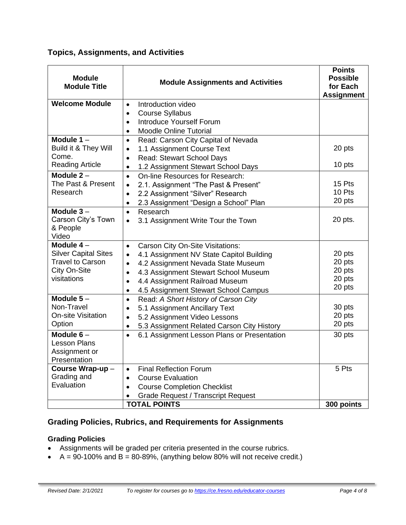# **Topics, Assignments, and Activities**

| <b>Module</b><br><b>Module Assignments and Activities</b><br><b>Module Title</b> |                                                                  | <b>Points</b><br><b>Possible</b><br>for Each<br><b>Assignment</b> |
|----------------------------------------------------------------------------------|------------------------------------------------------------------|-------------------------------------------------------------------|
| <b>Welcome Module</b>                                                            | Introduction video<br>$\bullet$                                  |                                                                   |
|                                                                                  | <b>Course Syllabus</b><br>$\bullet$                              |                                                                   |
|                                                                                  | Introduce Yourself Forum<br>$\bullet$                            |                                                                   |
|                                                                                  | <b>Moodle Online Tutorial</b><br>$\bullet$                       |                                                                   |
| Module $1 -$                                                                     | Read: Carson City Capital of Nevada<br>$\bullet$                 |                                                                   |
| Build it & They Will                                                             | 1.1 Assignment Course Text<br>$\bullet$                          | 20 pts                                                            |
| Come.                                                                            | Read: Stewart School Days<br>$\bullet$                           |                                                                   |
| <b>Reading Article</b>                                                           | 1.2 Assignment Stewart School Days<br>$\bullet$                  | 10 pts                                                            |
| Module $2 -$                                                                     | On-line Resources for Research:<br>$\bullet$                     |                                                                   |
| The Past & Present                                                               | 2.1. Assignment "The Past & Present"<br>$\bullet$                | 15 Pts                                                            |
| Research                                                                         | 2.2 Assignment "Silver" Research<br>$\bullet$                    | 10 Pts                                                            |
|                                                                                  | 2.3 Assignment "Design a School" Plan<br>$\bullet$               | 20 pts                                                            |
| Module $3-$                                                                      | Research<br>$\bullet$                                            |                                                                   |
| Carson City's Town                                                               | 3.1 Assignment Write Tour the Town<br>$\bullet$                  | 20 pts.                                                           |
| & People                                                                         |                                                                  |                                                                   |
| Video                                                                            |                                                                  |                                                                   |
| Module $4-$                                                                      | Carson City On-Site Visitations:<br>$\bullet$                    |                                                                   |
| <b>Silver Capital Sites</b>                                                      | 4.1 Assignment NV State Capitol Building<br>$\bullet$            | 20 pts                                                            |
| <b>Travel to Carson</b>                                                          | 4.2 Assignment Nevada State Museum<br>$\bullet$                  | 20 pts                                                            |
| City On-Site<br>visitations                                                      | 4.3 Assignment Stewart School Museum<br>$\bullet$                | 20 pts<br>20 pts                                                  |
|                                                                                  | 4.4 Assignment Railroad Museum<br>$\bullet$                      | 20 pts                                                            |
|                                                                                  | 4.5 Assignment Stewart School Campus<br>$\bullet$                |                                                                   |
| Module $5-$                                                                      | Read: A Short History of Carson City<br>$\bullet$                |                                                                   |
| Non-Travel                                                                       | 5.1 Assignment Ancillary Text<br>$\bullet$                       | 30 pts                                                            |
| <b>On-site Visitation</b>                                                        | 5.2 Assignment Video Lessons<br>$\bullet$                        | 20 pts                                                            |
| Option                                                                           | 5.3 Assignment Related Carson City History<br>$\bullet$          | 20 pts                                                            |
| Module $6-$                                                                      | 6.1 Assignment Lesson Plans or Presentation<br>$\bullet$         | 30 pts                                                            |
| <b>Lesson Plans</b>                                                              |                                                                  |                                                                   |
| Assignment or                                                                    |                                                                  |                                                                   |
| Presentation                                                                     | <b>Final Reflection Forum</b>                                    | 5 Pts                                                             |
| Course Wrap-up-<br>Grading and                                                   | $\bullet$                                                        |                                                                   |
| Evaluation                                                                       | <b>Course Evaluation</b><br>$\bullet$                            |                                                                   |
|                                                                                  | <b>Course Completion Checklist</b><br>$\bullet$                  |                                                                   |
|                                                                                  | <b>Grade Request / Transcript Request</b><br><b>TOTAL POINTS</b> |                                                                   |
| 300 points                                                                       |                                                                  |                                                                   |

# **Grading Policies, Rubrics, and Requirements for Assignments**

# **Grading Policies**

- Assignments will be graded per criteria presented in the course rubrics.
- $\bullet$  A = 90-100% and B = 80-89%, (anything below 80% will not receive credit.)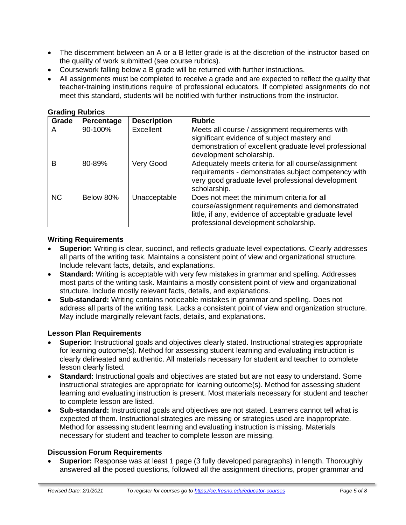- The discernment between an A or a B letter grade is at the discretion of the instructor based on the quality of work submitted (see course rubrics).
- Coursework falling below a B grade will be returned with further instructions.
- All assignments must be completed to receive a grade and are expected to reflect the quality that teacher-training institutions require of professional educators. If completed assignments do not meet this standard, students will be notified with further instructions from the instructor.

| Grade     | Percentage | <b>Description</b> | <b>Rubric</b>                                                                                                                                                                                   |
|-----------|------------|--------------------|-------------------------------------------------------------------------------------------------------------------------------------------------------------------------------------------------|
| A         | 90-100%    | Excellent          | Meets all course / assignment requirements with<br>significant evidence of subject mastery and<br>demonstration of excellent graduate level professional<br>development scholarship.            |
| B         | 80-89%     | Very Good          | Adequately meets criteria for all course/assignment<br>requirements - demonstrates subject competency with<br>very good graduate level professional development<br>scholarship.                 |
| <b>NC</b> | Below 80%  | Unacceptable       | Does not meet the minimum criteria for all<br>course/assignment requirements and demonstrated<br>little, if any, evidence of acceptable graduate level<br>professional development scholarship. |

#### **Grading Rubrics**

### **Writing Requirements**

- **Superior:** Writing is clear, succinct, and reflects graduate level expectations. Clearly addresses all parts of the writing task. Maintains a consistent point of view and organizational structure. Include relevant facts, details, and explanations.
- **Standard:** Writing is acceptable with very few mistakes in grammar and spelling. Addresses most parts of the writing task. Maintains a mostly consistent point of view and organizational structure. Include mostly relevant facts, details, and explanations.
- **Sub-standard:** Writing contains noticeable mistakes in grammar and spelling. Does not address all parts of the writing task. Lacks a consistent point of view and organization structure. May include marginally relevant facts, details, and explanations.

### **Lesson Plan Requirements**

- **Superior:** Instructional goals and objectives clearly stated. Instructional strategies appropriate for learning outcome(s). Method for assessing student learning and evaluating instruction is clearly delineated and authentic. All materials necessary for student and teacher to complete lesson clearly listed.
- **Standard:** Instructional goals and objectives are stated but are not easy to understand. Some instructional strategies are appropriate for learning outcome(s). Method for assessing student learning and evaluating instruction is present. Most materials necessary for student and teacher to complete lesson are listed.
- **Sub-standard:** Instructional goals and objectives are not stated. Learners cannot tell what is expected of them. Instructional strategies are missing or strategies used are inappropriate. Method for assessing student learning and evaluating instruction is missing. Materials necessary for student and teacher to complete lesson are missing.

### **Discussion Forum Requirements**

• **Superior:** Response was at least 1 page (3 fully developed paragraphs) in length. Thoroughly answered all the posed questions, followed all the assignment directions, proper grammar and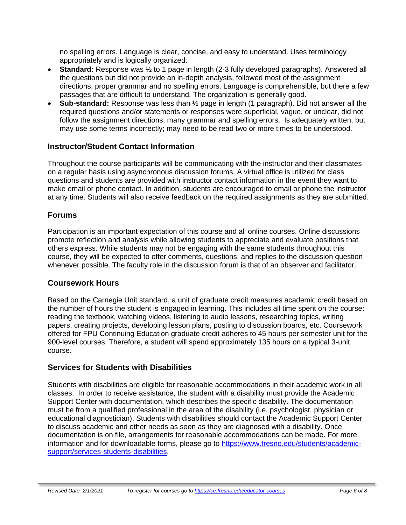no spelling errors. Language is clear, concise, and easy to understand. Uses terminology appropriately and is logically organized.

- **Standard:** Response was  $\frac{1}{2}$  to 1 page in length (2-3 fully developed paragraphs). Answered all the questions but did not provide an in-depth analysis, followed most of the assignment directions, proper grammar and no spelling errors. Language is comprehensible, but there a few passages that are difficult to understand. The organization is generally good.
- **Sub-standard:** Response was less than ½ page in length (1 paragraph). Did not answer all the required questions and/or statements or responses were superficial, vague, or unclear, did not follow the assignment directions, many grammar and spelling errors. Is adequately written, but may use some terms incorrectly; may need to be read two or more times to be understood.

### **Instructor/Student Contact Information**

Throughout the course participants will be communicating with the instructor and their classmates on a regular basis using asynchronous discussion forums. A virtual office is utilized for class questions and students are provided with instructor contact information in the event they want to make email or phone contact. In addition, students are encouraged to email or phone the instructor at any time. Students will also receive feedback on the required assignments as they are submitted.

# **Forums**

Participation is an important expectation of this course and all online courses. Online discussions promote reflection and analysis while allowing students to appreciate and evaluate positions that others express. While students may not be engaging with the same students throughout this course, they will be expected to offer comments, questions, and replies to the discussion question whenever possible. The faculty role in the discussion forum is that of an observer and facilitator.

### **Coursework Hours**

Based on the Carnegie Unit standard, a unit of graduate credit measures academic credit based on the number of hours the student is engaged in learning. This includes all time spent on the course: reading the textbook, watching videos, listening to audio lessons, researching topics, writing papers, creating projects, developing lesson plans, posting to discussion boards, etc. Coursework offered for FPU Continuing Education graduate credit adheres to 45 hours per semester unit for the 900-level courses. Therefore, a student will spend approximately 135 hours on a typical 3-unit course.

# **Services for Students with Disabilities**

Students with disabilities are eligible for reasonable accommodations in their academic work in all classes. In order to receive assistance, the student with a disability must provide the Academic Support Center with documentation, which describes the specific disability. The documentation must be from a qualified professional in the area of the disability (i.e. psychologist, physician or educational diagnostician). Students with disabilities should contact the Academic Support Center to discuss academic and other needs as soon as they are diagnosed with a disability. Once documentation is on file, arrangements for reasonable accommodations can be made. For more information and for downloadable forms, please go to [https://www.fresno.edu/students/academic](https://www.fresno.edu/students/academic-support/services-students-disabilities)[support/services-students-disabilities.](https://www.fresno.edu/students/academic-support/services-students-disabilities)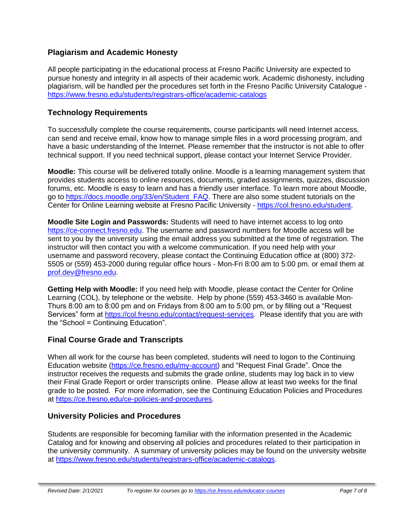# **Plagiarism and Academic Honesty**

All people participating in the educational process at Fresno Pacific University are expected to pursue honesty and integrity in all aspects of their academic work. Academic dishonesty, including plagiarism, will be handled per the procedures set forth in the Fresno Pacific University Catalogue <https://www.fresno.edu/students/registrars-office/academic-catalogs>

## **Technology Requirements**

To successfully complete the course requirements, course participants will need Internet access, can send and receive email, know how to manage simple files in a word processing program, and have a basic understanding of the Internet. Please remember that the instructor is not able to offer technical support. If you need technical support, please contact your Internet Service Provider.

**Moodle:** This course will be delivered totally online. Moodle is a learning management system that provides students access to online resources, documents, graded assignments, quizzes, discussion forums, etc. Moodle is easy to learn and has a friendly user interface. To learn more about Moodle, go to [https://docs.moodle.org/33/en/Student\\_FAQ.](https://docs.moodle.org/33/en/Student_FAQ) There are also some student tutorials on the Center for Online Learning website at Fresno Pacific University - [https://col.fresno.edu/student.](https://col.fresno.edu/student)

**Moodle Site Login and Passwords:** Students will need to have internet access to log onto [https://ce-connect.fresno.edu.](https://ce-connect.fresno.edu/) The username and password numbers for Moodle access will be sent to you by the university using the email address you submitted at the time of registration. The instructor will then contact you with a welcome communication. If you need help with your username and password recovery, please contact the Continuing Education office at (800) 372- 5505 or (559) 453-2000 during regular office hours - Mon-Fri 8:00 am to 5:00 pm. or email them at [prof.dev@fresno.edu.](mailto:prof.dev@fresno.edu)

**Getting Help with Moodle:** If you need help with Moodle, please contact the Center for Online Learning (COL), by telephone or the website. Help by phone (559) 453-3460 is available Mon-Thurs 8:00 am to 8:00 pm and on Fridays from 8:00 am to 5:00 pm, or by filling out a "Request Services" form at [https://col.fresno.edu/contact/request-services.](https://col.fresno.edu/contact/request-services) Please identify that you are with the "School = Continuing Education".

### **Final Course Grade and Transcripts**

When all work for the course has been completed, students will need to logon to the Continuing Education website [\(https://ce.fresno.edu/my-account\)](https://ce.fresno.edu/my-account) and "Request Final Grade". Once the instructor receives the requests and submits the grade online, students may log back in to view their Final Grade Report or order transcripts online. Please allow at least two weeks for the final grade to be posted. For more information, see the Continuing Education Policies and Procedures at [https://ce.fresno.edu/ce-policies-and-procedures.](https://ce.fresno.edu/ce-policies-and-procedures)

### **University Policies and Procedures**

Students are responsible for becoming familiar with the information presented in the Academic Catalog and for knowing and observing all policies and procedures related to their participation in the university community. A summary of university policies may be found on the university website at [https://www.fresno.edu/students/registrars-office/academic-catalogs.](https://www.fresno.edu/students/registrars-office/academic-catalogs)